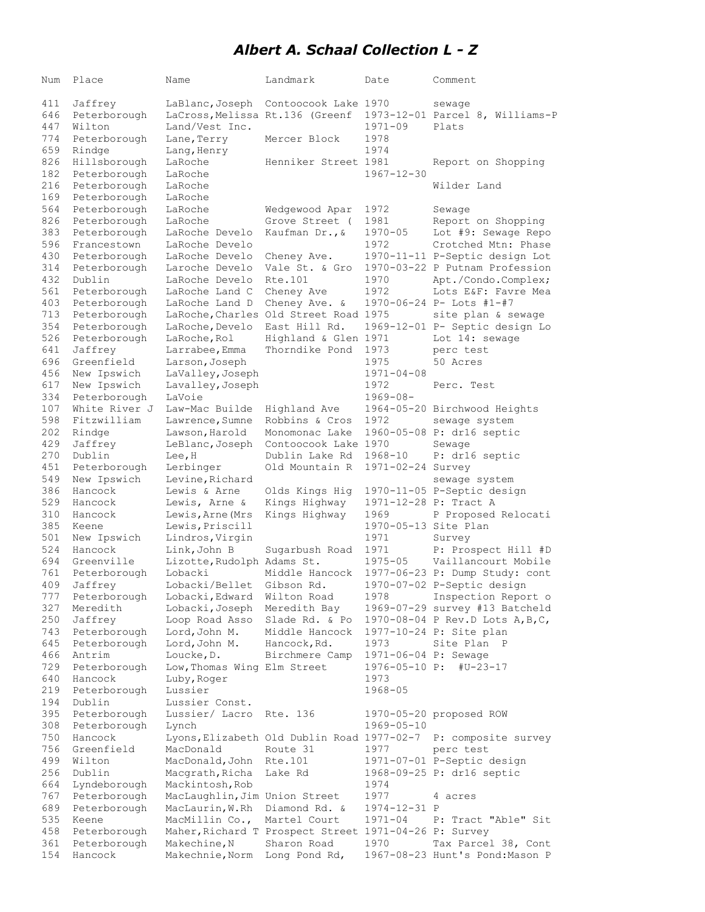## *Albert A. Schaal Collection L - Z*

| Num        | Place                        | Name                              | Landmark                                              | Date                  | Comment                                               |
|------------|------------------------------|-----------------------------------|-------------------------------------------------------|-----------------------|-------------------------------------------------------|
|            |                              |                                   |                                                       |                       |                                                       |
| 411        | Jaffrey                      | LaBlanc, Joseph                   | Contoocook Lake 1970                                  |                       | sewage                                                |
| 646        | Peterborough                 | LaCross, Melissa Rt.136 (Greenf   |                                                       |                       | 1973-12-01 Parcel 8, Williams-P                       |
| 447        | Wilton                       | Land/Vest Inc.                    |                                                       | $1971 - 09$           | Plats                                                 |
| 774        | Peterborough                 | Lane, Terry                       | Mercer Block                                          | 1978                  |                                                       |
| 659        | Rindge                       | Lang, Henry                       |                                                       | 1974                  |                                                       |
| 826        | Hillsborough                 | LaRoche                           | Henniker Street 1981                                  |                       | Report on Shopping                                    |
| 182<br>216 | Peterborough                 | LaRoche                           |                                                       | $1967 - 12 - 30$      |                                                       |
| 169        | Peterborough                 | LaRoche                           |                                                       |                       | Wilder Land                                           |
| 564        | Peterborough<br>Peterborough | LaRoche<br>LaRoche                |                                                       |                       |                                                       |
| 826        | Peterborough                 | LaRoche                           | Wedgewood Apar<br>Grove Street (                      | 1972<br>1981          | Sewage<br>Report on Shopping                          |
| 383        | Peterborough                 | LaRoche Develo                    | Kaufman Dr., &                                        | $1970 - 05$           | Lot #9: Sewage Repo                                   |
| 596        | Francestown                  | LaRoche Develo                    |                                                       | 1972                  | Crotched Mtn: Phase                                   |
| 430        | Peterborough                 | LaRoche Develo                    | Cheney Ave.                                           |                       | 1970-11-11 P-Septic design Lot                        |
| 314        | Peterborough                 | Laroche Develo                    | Vale St. & Gro                                        |                       | 1970-03-22 P Putnam Profession                        |
| 432        | Dublin                       | LaRoche Develo                    | Rte.101                                               | 1970                  | Apt./Condo.Complex;                                   |
| 561        | Peterborough                 | LaRoche Land C                    | Cheney Ave                                            | 1972                  | Lots E&F: Favre Mea                                   |
| 403        | Peterborough                 | LaRoche Land D                    | Cheney Ave. &                                         |                       | 1970-06-24 P- Lots #1-#7                              |
| 713        | Peterborough                 |                                   | LaRoche, Charles Old Street Road 1975                 |                       | site plan & sewage                                    |
| 354        | Peterborough                 | LaRoche, Develo                   | East Hill Rd.                                         |                       | 1969-12-01 P- Septic design Lo                        |
| 526        | Peterborough                 | LaRoche, Rol                      | Highland & Glen 1971                                  |                       | Lot 14: sewage                                        |
| 641        | Jaffrey                      | Larrabee, Emma                    | Thorndike Pond                                        | 1973                  | perc test                                             |
| 696        | Greenfield                   | Larson, Joseph                    |                                                       | 1975                  | 50 Acres                                              |
| 456        | New Ipswich                  | LaValley, Joseph                  |                                                       | $1971 - 04 - 08$      |                                                       |
| 617        | New Ipswich                  | Lavalley, Joseph                  |                                                       | 1972                  | Perc. Test                                            |
| 334        | Peterborough                 | LaVoie                            |                                                       | $1969 - 08 -$         |                                                       |
| 107        | White River J                | Law-Mac Builde                    | Highland Ave                                          |                       | 1964-05-20 Birchwood Heights                          |
| 598        | Fitzwilliam                  | Lawrence, Sumne                   | Robbins & Cros                                        | 1972                  | sewage system                                         |
| 202        | Rindge                       | Lawson, Harold                    | Monomonac Lake                                        |                       | 1960-05-08 P: dr16 septic                             |
| 429        | Jaffrey                      | LeBlanc, Joseph                   | Contoocook Lake 1970                                  |                       | Sewage                                                |
| 270        | Dublin                       | Lee, H                            | Dublin Lake Rd                                        | 1968-10               | P: dr16 septic                                        |
| 451        | Peterborough                 | Lerbinger                         | Old Mountain R                                        | 1971-02-24 Survey     |                                                       |
| 549        | New Ipswich                  | Levine, Richard                   |                                                       |                       | sewage system                                         |
| 386        | Hancock                      | Lewis & Arne                      | Olds Kings Hig                                        |                       | 1970-11-05 P-Septic design                            |
| 529        | Hancock                      | Lewis, Arne &                     | Kings Highway                                         | 1971-12-28 P: Tract A |                                                       |
| 310        | Hancock                      | Lewis, Arne (Mrs                  | Kings Highway                                         | 1969                  | P Proposed Relocati                                   |
| 385        | Keene                        | Lewis, Priscill                   |                                                       | 1970-05-13 Site Plan  |                                                       |
| 501        | New Ipswich                  | Lindros, Virgin                   |                                                       | 1971                  | Survey                                                |
| 524        | Hancock                      | Link, John B                      | Sugarbush Road                                        | 1971                  | P: Prospect Hill #D                                   |
| 694        | Greenville                   | Lizotte, Rudolph Adams St.        |                                                       | $1975 - 05$           | Vaillancourt Mobile                                   |
| 761<br>409 | Peterborough<br>Jaffrey      | Lobacki                           | Middle Hancock                                        |                       | 1977-06-23 P: Dump Study: cont                        |
| 777        |                              | Lobacki/Bellet<br>Lobacki, Edward | Gibson Rd.                                            | 1978                  | 1970-07-02 P-Septic design                            |
| 327        | Peterborough<br>Meredith     | Lobacki, Joseph                   | Wilton Road<br>Meredith Bay                           |                       | Inspection Report o<br>1969-07-29 survey #13 Batcheld |
| 250        | Jaffrey                      | Loop Road Asso                    | Slade Rd. & Po                                        |                       | 1970-08-04 P Rev.D Lots A, B, C,                      |
| 743        | Peterborough                 | Lord, John M.                     | Middle Hancock                                        |                       | 1977-10-24 P: Site plan                               |
| 645        | Peterborough                 | Lord, John M.                     | Hancock, Rd.                                          | 1973                  | Site Plan P                                           |
| 466        | Antrim                       | Loucke, D.                        | Birchmere Camp                                        | 1971-06-04 P: Sewage  |                                                       |
| 729        | Peterborough                 | Low, Thomas Wing Elm Street       |                                                       | 1976-05-10 P:         | #U-23-17                                              |
| 640        | Hancock                      | Luby, Roger                       |                                                       | 1973                  |                                                       |
| 219        | Peterborough                 | Lussier                           |                                                       | $1968 - 05$           |                                                       |
| 194        | Dublin                       | Lussier Const.                    |                                                       |                       |                                                       |
| 395        | Peterborough                 | Lussier/ Lacro                    | Rte. 136                                              |                       | 1970-05-20 proposed ROW                               |
| 308        | Peterborough                 | Lynch                             |                                                       | $1969 - 05 - 10$      |                                                       |
| 750        | Hancock                      |                                   | Lyons, Elizabeth Old Dublin Road 1977-02-7            |                       | P: composite survey                                   |
| 756        | Greenfield                   | MacDonald                         | Route 31                                              | 1977                  | perc test                                             |
| 499        | Wilton                       | MacDonald, John                   | Rte.101                                               |                       | 1971-07-01 P-Septic design                            |
| 256        | Dublin                       | Macgrath, Richa                   | Lake Rd                                               |                       | 1968-09-25 P: dr16 septic                             |
| 664        | Lyndeborough                 | Mackintosh, Rob                   |                                                       | 1974                  |                                                       |
| 767        | Peterborough                 | MacLaughlin, Jim Union Street     |                                                       | 1977                  | 4 acres                                               |
| 689        | Peterborough                 | MacLaurin, W.Rh                   | Diamond Rd. &                                         | 1974-12-31 P          |                                                       |
| 535        | Keene                        | MacMillin Co.,                    | Martel Court                                          | $1971 - 04$           | P: Tract "Able" Sit                                   |
| 458        | Peterborough                 |                                   | Maher, Richard T Prospect Street 1971-04-26 P: Survey |                       |                                                       |
| 361        | Peterborough                 | Makechine, N                      | Sharon Road                                           | 1970                  | Tax Parcel 38, Cont                                   |
| 154        | Hancock                      | Makechnie, Norm                   | Long Pond Rd,                                         |                       | 1967-08-23 Hunt's Pond: Mason P                       |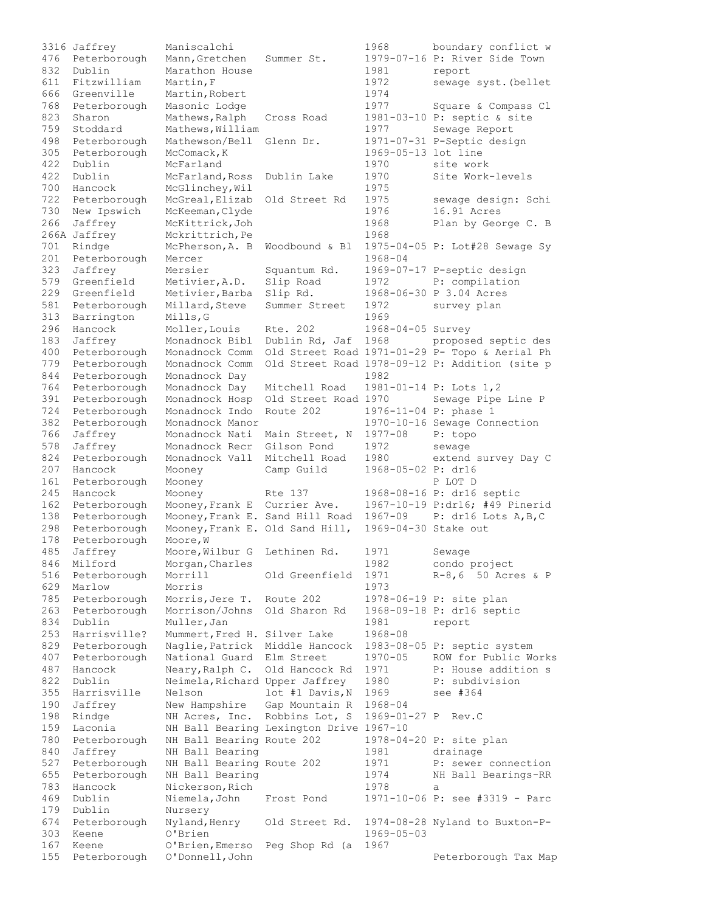|     | 3316 Jaffrey | Maniscalchi                     |                                         | 1968                 | boundary conflict w                            |
|-----|--------------|---------------------------------|-----------------------------------------|----------------------|------------------------------------------------|
| 476 | Peterborough | Mann, Gretchen                  | Summer St.                              |                      | 1979-07-16 P: River Side Town                  |
| 832 | Dublin       | Marathon House                  |                                         | 1981                 | report                                         |
| 611 | Fitzwilliam  | Martin, F                       |                                         | 1972                 | sewage syst. (bellet                           |
| 666 | Greenville   | Martin, Robert                  |                                         | 1974                 |                                                |
| 768 | Peterborough | Masonic Lodge                   |                                         | 1977                 | Square & Compass Cl                            |
| 823 | Sharon       | Mathews, Ralph                  | Cross Road                              |                      | 1981-03-10 P: septic & site                    |
|     |              |                                 |                                         |                      |                                                |
| 759 | Stoddard     | Mathews, William                |                                         | 1977                 | Sewage Report                                  |
| 498 | Peterborough | Mathewson/Bell                  | Glenn Dr.                               |                      | 1971-07-31 P-Septic design                     |
| 305 | Peterborough | McComack, K                     |                                         | 1969-05-13 lot line  |                                                |
| 422 | Dublin       | McFarland                       |                                         | 1970                 | site work                                      |
| 422 | Dublin       | McFarland, Ross                 | Dublin Lake                             | 1970                 | Site Work-levels                               |
| 700 | Hancock      | McGlinchey, Wil                 |                                         | 1975                 |                                                |
| 722 | Peterborough | McGreal, Elizab                 | Old Street Rd                           | 1975                 | sewage design: Schi                            |
| 730 | New Ipswich  | McKeeman, Clyde                 |                                         | 1976                 | 16.91 Acres                                    |
| 266 | Jaffrey      | McKittrick, Joh                 |                                         | 1968                 | Plan by George C. B                            |
|     | 266A Jaffrey | Mckrittrich, Pe                 |                                         | 1968                 |                                                |
| 701 | Rindge       | McPherson, A. B                 | Woodbound & Bl                          |                      | 1975-04-05 P: Lot#28 Sewage Sy                 |
|     |              |                                 |                                         |                      |                                                |
| 201 | Peterborough | Mercer                          |                                         | $1968 - 04$          |                                                |
| 323 | Jaffrey      | Mersier                         | Squantum Rd.                            |                      | 1969-07-17 P-septic design                     |
| 579 | Greenfield   | Metivier, A.D.                  | Slip Road                               | 1972                 | P: compilation                                 |
| 229 | Greenfield   | Metivier, Barba                 | Slip Rd.                                |                      | 1968-06-30 P 3.04 Acres                        |
| 581 | Peterborough | Millard, Steve                  | Summer Street                           | 1972                 | survey plan                                    |
| 313 | Barrington   | Mills, G                        |                                         | 1969                 |                                                |
| 296 | Hancock      | Moller, Louis                   | Rte. 202                                | 1968-04-05 Survey    |                                                |
| 183 | Jaffrey      | Monadnock Bibl                  | Dublin Rd, Jaf                          | 1968                 | proposed septic des                            |
| 400 | Peterborough | Monadnock Comm                  |                                         |                      | Old Street Road 1971-01-29 P- Topo & Aerial Ph |
| 779 | Peterborough | Monadnock Comm                  |                                         |                      | Old Street Road 1978-09-12 P: Addition (site p |
|     |              |                                 |                                         |                      |                                                |
| 844 | Peterborough | Monadnock Day                   |                                         | 1982                 |                                                |
| 764 | Peterborough | Monadnock Day                   | Mitchell Road                           |                      | 1981-01-14 P: Lots 1,2                         |
| 391 | Peterborough | Monadnock Hosp                  | Old Street Road 1970                    |                      | Sewage Pipe Line P                             |
| 724 | Peterborough | Monadnock Indo                  | Route 202                               |                      | 1976-11-04 P: phase 1                          |
| 382 | Peterborough | Monadnock Manor                 |                                         |                      | 1970-10-16 Sewage Connection                   |
| 766 | Jaffrey      | Monadnock Nati                  | Main Street, N                          | $1977 - 08$          | P: topo                                        |
| 578 | Jaffrey      | Monadnock Recr                  | Gilson Pond                             | 1972                 | sewage                                         |
| 824 | Peterborough | Monadnock Vall                  | Mitchell Road                           | 1980                 | extend survey Day C                            |
| 207 | Hancock      | Mooney                          | Camp Guild                              | 1968-05-02 P: dr16   |                                                |
| 161 | Peterborough | Mooney                          |                                         |                      | P LOT D                                        |
| 245 | Hancock      | Mooney                          | Rte 137                                 |                      |                                                |
|     |              |                                 |                                         |                      | 1968-08-16 P: dr16 septic                      |
| 162 | Peterborough | Mooney, Frank E Currier Ave.    |                                         |                      | 1967-10-19 P:dr16; #49 Pinerid                 |
| 138 | Peterborough | Mooney, Frank E. Sand Hill Road |                                         | $1967 - 09$          | P: dr16 Lots A, B, C                           |
| 298 | Peterborough | Mooney, Frank E. Old Sand Hill, |                                         | 1969-04-30 Stake out |                                                |
| 178 | Peterborough | Moore, W                        |                                         |                      |                                                |
| 485 | Jaffrey      | Moore, Wilbur G Lethinen Rd.    |                                         | 1971                 | Sewage                                         |
| 846 | Milford      | Morgan, Charles                 |                                         | 1982                 | condo project                                  |
| 516 | Peterborough | Morrill                         | Old Greenfield                          | 1971                 | R-8,6 50 Acres & P                             |
| 629 | Marlow       | Morris                          |                                         | 1973                 |                                                |
| 785 | Peterborough | Morris, Jere T.                 | Route 202                               |                      | 1978-06-19 P: site plan                        |
| 263 | Peterborough | Morrison/Johns                  | Old Sharon Rd                           |                      | 1968-09-18 P: dr16 septic                      |
| 834 | Dublin       | Muller, Jan                     |                                         |                      |                                                |
| 253 | Harrisville? | Mummert, Fred H. Silver Lake    |                                         | 1981                 | report                                         |
|     |              |                                 |                                         | 1968-08              |                                                |
| 829 | Peterborough | Naglie, Patrick                 | Middle Hancock                          |                      | 1983-08-05 P: septic system                    |
| 407 | Peterborough | National Guard                  | Elm Street                              | $1970 - 05$          | ROW for Public Works                           |
| 487 | Hancock      | Neary, Ralph C.                 | Old Hancock Rd                          | 1971                 | P: House addition s                            |
| 822 | Dublin       | Neimela, Richard Upper Jaffrey  |                                         | 1980                 | P: subdivision                                 |
| 355 | Harrisville  | Nelson                          | lot #1 Davis, N                         | 1969                 | see #364                                       |
| 190 | Jaffrey      | New Hampshire                   | Gap Mountain R                          | $1968 - 04$          |                                                |
| 198 | Rindge       | NH Acres, Inc.                  | Robbins Lot, S                          | 1969-01-27 P         | Rev.C                                          |
| 159 | Laconia      |                                 | NH Ball Bearing Lexington Drive 1967-10 |                      |                                                |
| 780 | Peterborough | NH Ball Bearing Route 202       |                                         |                      | 1978-04-20 P: site plan                        |
| 840 | Jaffrey      | NH Ball Bearing                 |                                         | 1981                 | drainage                                       |
| 527 |              |                                 |                                         | 1971                 |                                                |
|     | Peterborough | NH Ball Bearing Route 202       |                                         |                      | P: sewer connection                            |
| 655 | Peterborough | NH Ball Bearing                 |                                         | 1974                 | NH Ball Bearings-RR                            |
| 783 | Hancock      | Nickerson, Rich                 |                                         | 1978                 | a                                              |
| 469 | Dublin       | Niemela, John                   | Frost Pond                              |                      | 1971-10-06 P: see #3319 - Parc                 |
| 179 | Dublin       | Nursery                         |                                         |                      |                                                |
| 674 | Peterborough | Nyland, Henry                   | Old Street Rd.                          |                      | 1974-08-28 Nyland to Buxton-P-                 |
| 303 | Keene        | O'Brien                         |                                         | $1969 - 05 - 03$     |                                                |
| 167 | Keene        | O'Brien, Emerso                 | Peg Shop Rd (a                          | 1967                 |                                                |
| 155 | Peterborough | O'Donnell, John                 |                                         |                      | Peterborough Tax Map                           |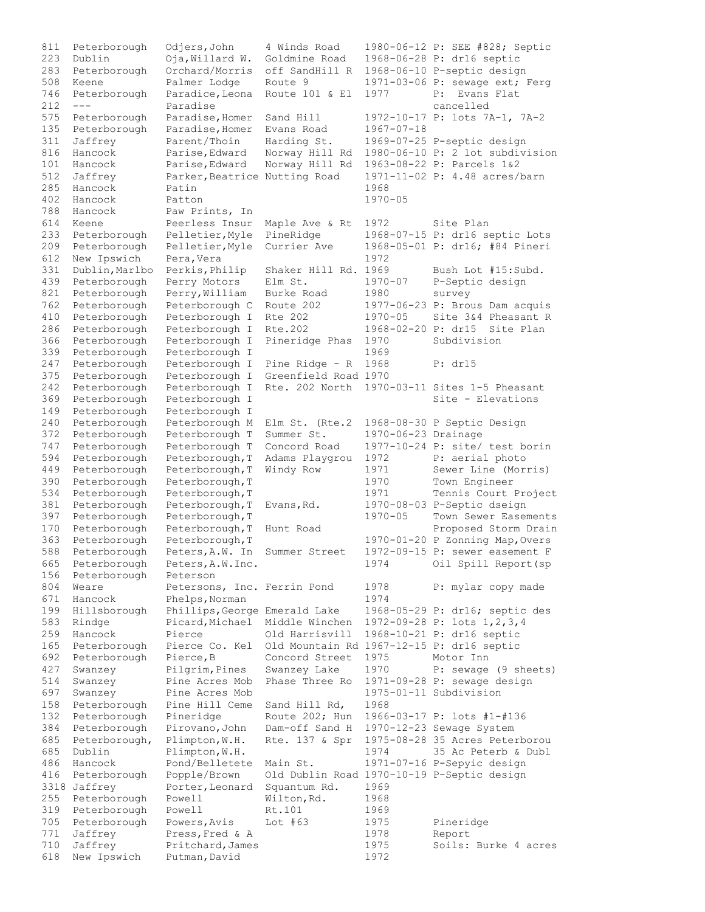811 Peterborough Odjers,John 4 Winds Road 1980-06-12 P: SEE #828; Septic 223 Dublin Oja,Willard W. Goldmine Road 1968-06-28 P: dr16 septic 283 Peterborough Orchard/Morris off SandHill R 1968-06-10 P-septic design 508 Keene Palmer Lodge Route 9 1971-03-06 P: sewage ext; Ferg 746 Peterborough Paradice,Leona Route 101 & El 1977 P: Evans Flat 212 --- Paradise cancelled 575 Peterborough Paradise,Homer Sand Hill 1972-10-17 P: lots 7A-1, 7A-2 135 Peterborough Paradise,Homer Evans Road 1967-07-18 311 Jaffrey Parent/Thoin Harding St. 1969-07-25 P-septic design 816 Hancock Parise,Edward Norway Hill Rd 1980-06-10 P: 2 lot subdivision 101 Hancock Parise,Edward Norway Hill Rd 1963-08-22 P: Parcels 1&2 512 Jaffrey Parker,Beatrice Nutting Road 1971-11-02 P: 4.48 acres/barn 285 Hancock Patin 1968 402 Hancock Patton 1970-05 788 Hancock Paw Prints, In 614 Keene Peerless Insur Maple Ave & Rt 1972 Site Plan 233 Peterborough Pelletier,Myle PineRidge 1968-07-15 P: dr16 septic Lots 209 Peterborough Pelletier,Myle Currier Ave 1968-05-01 P: dr16; #84 Pineri 612 New Ipswich Pera, Vera 1972 331 Dublin, Marlbo Perkis, Philip Shaker Hill Rd. 1969 Bush Lot #15: Subd. 439 Peterborough Perry Motors Elm St. 1970-07 P-Septic design 821 Peterborough Perry,William Burke Road 1980 survey 762 Peterborough Peterborough C Route 202 1977-06-23 P: Brous Dam acquis 410 Peterborough Peterborough I Rte 202 1970-05 Site 3&4 Pheasant R 286 Peterborough Peterborough I Rte.202 1968-02-20 P: dr15 Site Plan 366 Peterborough Peterborough I Pineridge Phas 1970 Subdivision 339 Peterborough Peterborough I 1969 247 Peterborough Peterborough I Pine Ridge - R 1968 P: dr15 375 Peterborough Peterborough I Greenfield Road 1970 242 Peterborough Peterborough I Rte. 202 North 1970-03-11 Sites 1-5 Pheasant 369 Peterborough Peterborough I Site - Elevations 149 Peterborough Peterborough I 240 Peterborough Peterborough M Elm St. (Rte.2 1968-08-30 P Septic Design 372 Peterborough Peterborough T Summer St. 1970-06-23 Drainage 747 Peterborough Peterborough T Concord Road 1977-10-24 P: site/ test borin 594 Peterborough Peterborough,T Adams Playgrou 1972 P: aerial photo 449 Peterborough Peterborough,T Windy Row 1971 Sewer Line (Morris) 390 Peterborough Peterborough,T 1970 Town Engineer 534 Peterborough Peterborough,T 1971 Tennis Court Project 381 Peterborough Peterborough,T Evans,Rd. 1970-08-03 P-Septic dseign 397 Peterborough Peterborough,T 1970-05 Town Sewer Easements 170 Peterborough Peterborough, Hunt Road Proposed Storm Drain 363 Peterborough Peterborough,T 1970-01-20 P Zonning Map,Overs 588 Peterborough Peters,A.W. In Summer Street 1972-09-15 P: sewer easement F 665 Peterborough Peters,A.W.Inc. 1974 Oil Spill Report(sp 156 Peterborough Peterson 804 Weare Petersons, Inc. Ferrin Pond 1978 P: mylar copy made 671 Hancock Phelps,Norman 1974 199 Hillsborough Phillips,George Emerald Lake 1968-05-29 P: dr16; septic des 583 Rindge Picard,Michael Middle Winchen 1972-09-28 P: lots 1,2,3,4 259 Hancock Pierce Old Harrisvill 1968-10-21 P: dr16 septic 165 Peterborough Pierce Co. Kel Old Mountain Rd 1967-12-15 P: dr16 septic 692 Peterborough Pierce,B Concord Street 1975 Motor Inn 427 Swanzey Pilgrim,Pines Swanzey Lake 1970 P: sewage (9 sheets) 514 Swanzey Pine Acres Mob Phase Three Ro 1971-09-28 P: sewage design 697 Swanzey Pine Acres Mob 1975-01-11 Subdivision 158 Peterborough Pine Hill Ceme Sand Hill Rd, 1968 132 Peterborough Pineridge Route 202; Hun 1966-03-17 P: lots #1-#136 384 Peterborough Pirovano,John Dam-off Sand H 1970-12-23 Sewage System 685 Peterborough, Plimpton,W.H. Rte. 137 & Spr 1975-08-28 35 Acres Peterborou 685 Dublin Plimpton,W.H. 1974 35 Ac Peterb & Dubl 486 Hancock Pond/Belletete Main St. 1971-07-16 P-Sepyic design 416 Peterborough Popple/Brown Old Dublin Road 1970-10-19 P-Septic design 3318 Jaffrey Porter,Leonard Squantum Rd. 1969 255 Peterborough Powell Wilton, Rd. 1968 319 Peterborough Powell Rt.101 1969 705 Peterborough Powers,Avis Lot #63 1975 Pineridge 771 Jaffrey Press, Fred & A 1978 Report 710 Jaffrey Pritchard,James 1975 Soils: Burke 4 acres 618 New Ipswich Putman,David 1972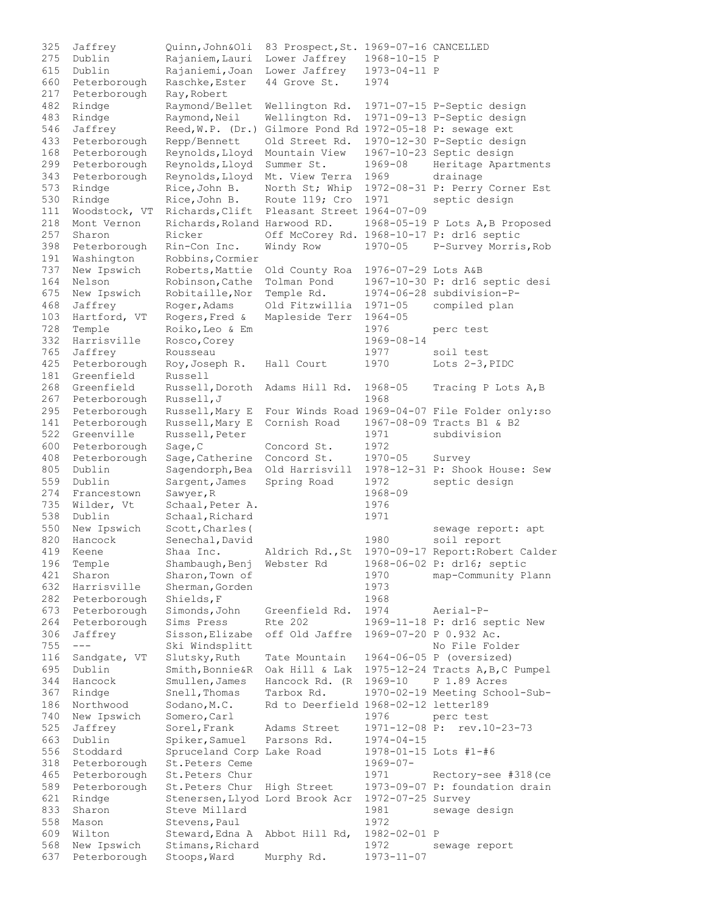| 325        | Jaffrey                      | Quinn, John&Oli                        | 83 Prospect, St. 1969-07-16 CANCELLED     |                       |                                                        |
|------------|------------------------------|----------------------------------------|-------------------------------------------|-----------------------|--------------------------------------------------------|
| 275        | Dublin                       | Rajaniem, Lauri                        | Lower Jaffrey                             | 1968-10-15 P          |                                                        |
| 615        | Dublin                       | Rajaniemi, Joan                        | Lower Jaffrey                             | 1973-04-11 P          |                                                        |
| 660        | Peterborough                 | Raschke, Ester                         | 44 Grove St.                              | 1974                  |                                                        |
| 217        | Peterborough                 | Ray, Robert                            |                                           |                       |                                                        |
| 482        | Rindge                       | Raymond/Bellet                         | Wellington Rd.                            |                       | 1971-07-15 P-Septic design                             |
| 483        | Rindge                       | Raymond, Neil                          | Wellington Rd.                            |                       | 1971-09-13 P-Septic design                             |
| 546        | Jaffrey                      | $\text{Red}, W.P. (Dr.)$               | Gilmore Pond Rd 1972-05-18 P: sewage ext  |                       |                                                        |
| 433        | Peterborough                 | Repp/Bennett                           | Old Street Rd.                            |                       | 1970-12-30 P-Septic design                             |
| 168        | Peterborough                 | Reynolds, Lloyd                        | Mountain View                             |                       | 1967-10-23 Septic design                               |
| 299        | Peterborough                 | Reynolds, Lloyd                        | Summer St.                                | 1969-08               | Heritage Apartments                                    |
| 343        | Peterborough                 | Reynolds, Lloyd                        | Mt. View Terra                            | 1969                  | drainage                                               |
| 573        | Rindge                       | Rice, John B.                          |                                           |                       | North St; Whip 1972-08-31 P: Perry Corner Est          |
| 530        | Rindge                       | Rice, John B.                          | Route 119; Cro                            | 1971                  | septic design                                          |
| 111        | Woodstock, VT                | Richards, Clift                        | Pleasant Street 1964-07-09                |                       |                                                        |
| 218<br>257 | Mont Vernon                  | Richards, Roland Harwood RD.<br>Ricker |                                           |                       | 1968-05-19 P Lots A, B Proposed                        |
| 398        | Sharon<br>Peterborough       | Rin-Con Inc.                           | Off McCorey Rd. 1968-10-17 P: dr16 septic | $1970 - 05$           | P-Survey Morris, Rob                                   |
| 191        | Washington                   | Robbins, Cormier                       | Windy Row                                 |                       |                                                        |
| 737        | New Ipswich                  | Roberts, Mattie                        | Old County Roa                            | 1976-07-29 Lots A&B   |                                                        |
| 164        | Nelson                       | Robinson, Cathe                        | Tolman Pond                               |                       | 1967-10-30 P: dr16 septic desi                         |
| 675        | New Ipswich                  | Robitaille, Nor                        | Temple Rd.                                |                       | 1974-06-28 subdivision-P-                              |
| 468        | Jaffrey                      | Roger, Adams                           | Old Fitzwillia                            | $1971 - 05$           | compiled plan                                          |
| 103        | Hartford, VT                 | Rogers, Fred &                         | Mapleside Terr                            | $1964 - 05$           |                                                        |
| 728        | Temple                       | Roiko, Leo & Em                        |                                           | 1976                  | perc test                                              |
| 332        | Harrisville                  | Rosco, Corey                           |                                           | 1969-08-14            |                                                        |
| 765        | Jaffrey                      | Rousseau                               |                                           | 1977                  | soil test                                              |
| 425        | Peterborough                 | Roy, Joseph R.                         | Hall Court                                | 1970                  | Lots $2-3$ , PIDC                                      |
| 181        | Greenfield                   | Russell                                |                                           |                       |                                                        |
| 268        | Greenfield                   | Russell, Doroth                        | Adams Hill Rd.                            | 1968-05               | Tracing P Lots A, B                                    |
| 267        | Peterborough                 | Russell, J                             |                                           | 1968                  |                                                        |
| 295        | Peterborough                 | Russell, Mary E                        |                                           |                       | Four Winds Road 1969-04-07 File Folder only:so         |
| 141        | Peterborough                 | Russell, Mary E                        | Cornish Road                              |                       | 1967-08-09 Tracts B1 & B2                              |
| 522        | Greenville                   | Russell, Peter                         |                                           | 1971                  | subdivision                                            |
| 600        | Peterborough                 | Sage, C                                | Concord St.                               | 1972                  |                                                        |
| 408        | Peterborough                 | Sage, Catherine                        | Concord St.                               | $1970 - 05$           | Survey                                                 |
| 805        | Dublin                       | Sagendorph, Bea                        | Old Harrisvill                            |                       | 1978-12-31 P: Shook House: Sew                         |
| 559        | Dublin                       | Sargent, James                         | Spring Road                               | 1972                  | septic design                                          |
| 274        | Francestown                  | Sawyer, R                              |                                           | $1968 - 09$           |                                                        |
| 735        | Wilder, Vt                   | Schaal, Peter A.<br>Schaal, Richard    |                                           | 1976                  |                                                        |
| 538<br>550 | Dublin<br>New Ipswich        | Scott, Charles (                       |                                           | 1971                  | sewage report: apt                                     |
| 820        | Hancock                      | Senechal, David                        |                                           | 1980                  | soil report                                            |
| 419        | Keene                        | Shaa Inc.                              | Aldrich Rd., St                           |                       | 1970-09-17 Report: Robert Calder                       |
| 196        | Temple                       | Shambaugh, Benj                        | Webster Rd                                |                       | 1968-06-02 P: dr16; septic                             |
| 421        | Sharon                       | Sharon, Town of                        |                                           | 1970                  | map-Community Plann                                    |
| 632        | Harrisville                  | Sherman, Gorden                        |                                           | 1973                  |                                                        |
| 282        | Peterborough                 | Shields, F                             |                                           | 1968                  |                                                        |
| 673        | Peterborough                 | Simonds, John                          | Greenfield Rd.                            | 1974                  | Aerial-P-                                              |
| 264        | Peterborough                 | Sims Press                             | Rte 202                                   |                       | 1969-11-18 P: dr16 septic New                          |
| 306        | Jaffrey                      | Sisson, Elizabe                        | off Old Jaffre                            |                       | 1969-07-20 P 0.932 Ac.                                 |
| 755        | $---$                        | Ski Windsplitt                         |                                           |                       | No File Folder                                         |
| 116        | Sandgate, VT                 | Slutsky, Ruth                          | Tate Mountain                             |                       | 1964-06-05 P (oversized)                               |
| 695        | Dublin                       | Smith, Bonnie&R                        | Oak Hill & Lak                            |                       | 1975-12-24 Tracts A, B, C Pumpel                       |
| 344        | Hancock                      | Smullen, James                         | Hancock Rd. (R)                           | 1969-10               | P 1.89 Acres                                           |
| 367        | Rindge                       | Snell, Thomas                          | Tarbox Rd.                                |                       | 1970-02-19 Meeting School-Sub-                         |
| 186        | Northwood                    | Sodano, M.C.                           | Rd to Deerfield 1968-02-12 letter189      |                       |                                                        |
| 740        | New Ipswich                  | Somero, Carl                           |                                           | 1976                  | perc test                                              |
| 525        | Jaffrey                      | Sorel, Frank                           | Adams Street                              | 1971-12-08 P:         | rev.10-23-73                                           |
| 663        | Dublin                       | Spiker, Samuel                         | Parsons Rd.                               | $1974 - 04 - 15$      |                                                        |
| 556        | Stoddard                     | Spruceland Corp Lake Road              |                                           | 1978-01-15 Lots #1-#6 |                                                        |
| 318        | Peterborough                 | St. Peters Ceme                        |                                           | $1969 - 07 -$         |                                                        |
| 465<br>589 | Peterborough<br>Peterborough | St. Peters Chur<br>St. Peters Chur     | High Street                               | 1971                  | Rectory-see #318 (ce<br>1973-09-07 P: foundation drain |
| 621        | Rindge                       | Stenersen, Llyod Lord Brook Acr        |                                           | 1972-07-25 Survey     |                                                        |
| 833        | Sharon                       | Steve Millard                          |                                           | 1981                  | sewage design                                          |
| 558        | Mason                        | Stevens, Paul                          |                                           | 1972                  |                                                        |
| 609        | Wilton                       | Steward, Edna A                        | Abbot Hill Rd,                            | 1982-02-01 P          |                                                        |
| 568        | New Ipswich                  | Stimans, Richard                       |                                           | 1972                  | sewage report                                          |
| 637        | Peterborough                 | Stoops, Ward                           | Murphy Rd.                                | 1973-11-07            |                                                        |
|            |                              |                                        |                                           |                       |                                                        |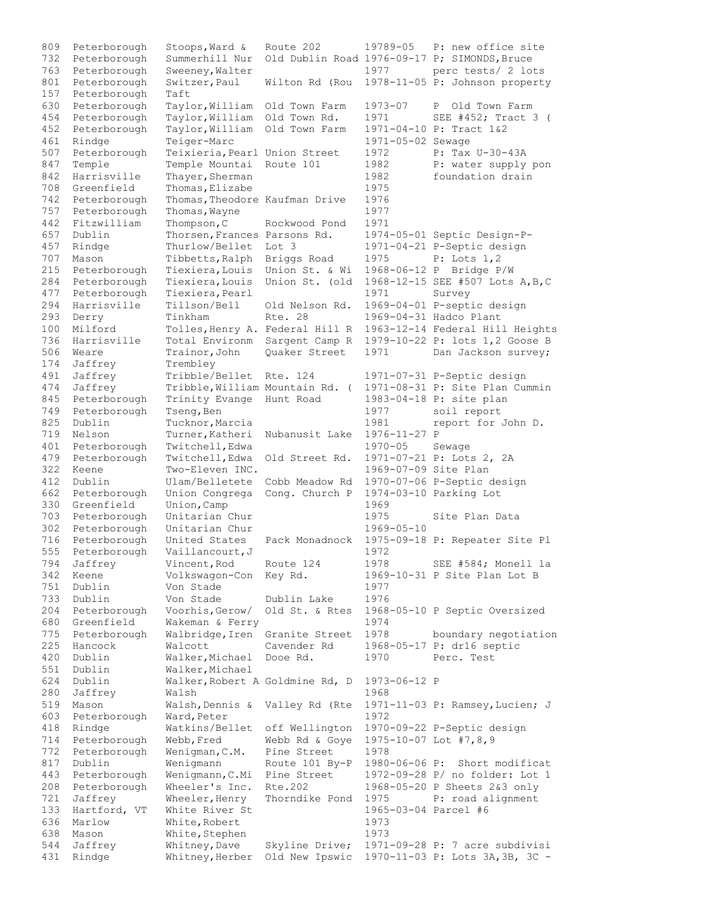809 Peterborough Stoops, Ward & Route 202 19789-05 P: new office site 732 Peterborough Summerhill Nur Old Dublin Road 1976-09-17 P; SIMONDS,Bruce 763 Peterborough Sweeney,Walter 1977 perc tests/ 2 lots 801 Peterborough Switzer,Paul Wilton Rd (Rou 1978-11-05 P: Johnson property 157 Peterborough Taft 630 Peterborough Taylor,William Old Town Farm 1973-07 P Old Town Farm 454 Peterborough Taylor, William Old Town Rd. 1971 SEE #452; Tract 3 ( 452 Peterborough Taylor,William Old Town Farm 1971-04-10 P: Tract 1&2 461 Rindge Teiger-Marc 1971-05-02 Sewage 507 Peterborough Teixieria,Pearl Union Street 1972 P: Tax U-30-43A 847 Temple Temple Mountai Route 101 1982 P: water supply pon 842 Harrisville Thayer, Sherman 1982 foundation drain 708 Greenfield Thomas, Elizabe 1975 742 Peterborough Thomas,Theodore Kaufman Drive 1976 757 Peterborough Thomas, Wayne 1977 442 Fitzwilliam Thompson,C Rockwood Pond 1971 657 Dublin Thorsen,Frances Parsons Rd. 1974-05-01 Septic Design-P-457 Rindge Thurlow/Bellet Lot 3 1971-04-21 P-Septic design 707 Mason Tibbetts,Ralph Briggs Road 1975 P: Lots 1,2 215 Peterborough Tiexiera,Louis Union St. & Wi 1968-06-12 P Bridge P/W 284 Peterborough Tiexiera,Louis Union St. (old 1968-12-15 SEE #507 Lots A,B,C 477 Peterborough Tiexiera, Pearl 1971 Survey 294 Harrisville Tillson/Bell Old Nelson Rd. 1969-04-01 P-septic design 293 Derry Tinkham Rte. 28 1969-04-31 Hadco Plant 100 Milford Tolles,Henry A. Federal Hill R 1963-12-14 Federal Hill Heights 736 Harrisville Total Environm Sargent Camp R 1979-10-22 P: lots 1,2 Goose B 506 Weare Trainor, John Quaker Street 1971 Dan Jackson survey; 174 Jaffrey Trembley 491 Jaffrey Tribble/Bellet Rte. 124 1971-07-31 P-Septic design 474 Jaffrey Tribble,William Mountain Rd. ( 1971-08-31 P: Site Plan Cummin 845 Peterborough Trinity Evange Hunt Road 1983-04-18 P: site plan<br>
749 Peterborough Tseng, Ben 1977 soil report<br>
825 Dublin Tucknor, Marcia 1981 report for John D. 749 Peterborough Tseng,Ben 1977 soil report 825 Dublin Tucknor, Marcia 1981 report for John D. 719 Nelson Turner,Katheri Nubanusit Lake 1976-11-27 P 401 Peterborough Twitchell,Edwa 1970-05 Sewage 479 Peterborough Twitchell,Edwa Old Street Rd. 1971-07-21 P: Lots 2, 2A 322 Keene Two-Eleven INC. 1969-07-09 Site Plan 412 Dublin Ulam/Belletete Cobb Meadow Rd 1970-07-06 P-Septic design 662 Peterborough Union Congrega Cong. Church P 1974-03-10 Parking Lot 330 Greenfield Union, Camp 1969 703 Peterborough Unitarian Chur 1975 Site Plan Data 302 Peterborough Unitarian Chur 1969-05-10 716 Peterborough United States Pack Monadnock 1975-09-18 P: Repeater Site Pl 555 Peterborough Vaillancourt, J 1972 794 Jaffrey Vincent,Rod Route 124 1978 SEE #584; Monell la 342 Keene Volkswagon-Con Key Rd. 1969-10-31 P Site Plan Lot B 751 Dublin Von Stade 1977 733 Dublin Von Stade Dublin Lake 1976 204 Peterborough Voorhis,Gerow/ Old St. & Rtes 1968-05-10 P Septic Oversized 680 Greenfield Wakeman & Ferry 1974 775 Peterborough Walbridge,Iren Granite Street 1978 boundary negotiation 225 Hancock Walcott Cavender Rd 1968-05-17 P: dr16 septic 420 Dublin Walker,Michael Dooe Rd. 1970 Perc. Test 551 Dublin Walker, Michael 624 Dublin Walker,Robert A Goldmine Rd, D 1973-06-12 P 280 Jaffrey Walsh 1968 519 Mason Walsh, Dennis & Valley Rd (Rte 1971-11-03 P: Ramsey, Lucien; J 603 Peterborough Ward, Peter 1972 418 Rindge Watkins/Bellet off Wellington 1970-09-22 P-Septic design 714 Peterborough Webb,Fred Webb Rd & Goye 1975-10-07 Lot #7,8,9 772 Peterborough Wenigman,C.M. Pine Street 1978 817 Dublin Wenigmann Route 101 By-P 1980-06-06 P: Short modificat 443 Peterborough Wenigmann,C.Mi Pine Street 1972-09-28 P/ no folder: Lot 1 208 Peterborough Wheeler's Inc. Rte.202 1968-05-20 P Sheets 2&3 only 721 Jaffrey Wheeler, Henry Thorndike Pond 1975 P: road alignment<br>133 Hartford, VT White River St 1965-03-04 Parcel #6 133 Hartford, VT White River St 636 Marlow White,Robert 1973 638 Mason White, Stephen 1973 544 Jaffrey Whitney,Dave Skyline Drive; 1971-09-28 P: 7 acre subdivisi 431 Rindge Whitney,Herber Old New Ipswic 1970-11-03 P: Lots 3A,3B, 3C -